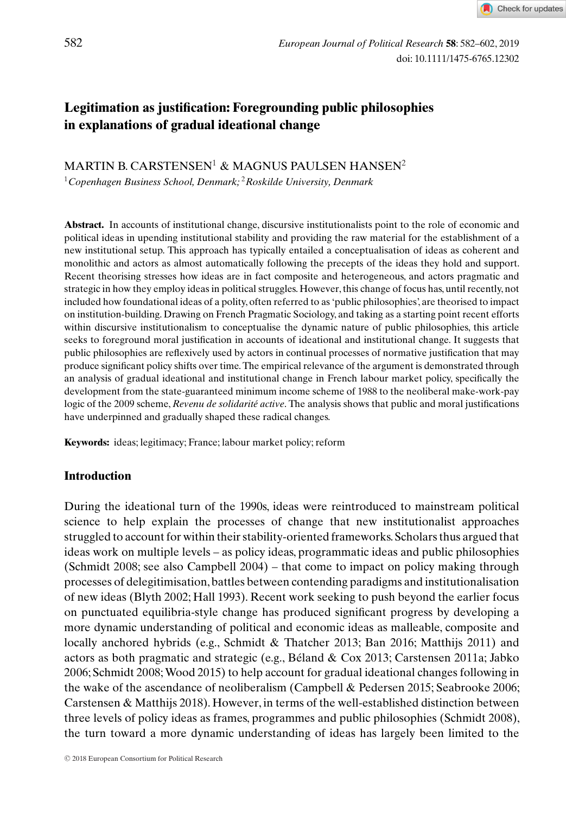

# **Legitimation as justification: Foregrounding public philosophies in explanations of gradual ideational change**

MARTIN B. CARSTENSEN<sup>1</sup> & MAGNUS PAULSEN HANSEN<sup>2</sup>

<sup>1</sup>*Copenhagen Business School, Denmark;* <sup>2</sup>*Roskilde University, Denmark*

**Abstract.** In accounts of institutional change, discursive institutionalists point to the role of economic and political ideas in upending institutional stability and providing the raw material for the establishment of a new institutional setup. This approach has typically entailed a conceptualisation of ideas as coherent and monolithic and actors as almost automatically following the precepts of the ideas they hold and support. Recent theorising stresses how ideas are in fact composite and heterogeneous, and actors pragmatic and strategic in how they employ ideas in political struggles. However, this change of focus has, until recently, not included how foundational ideas of a polity, often referred to as 'public philosophies', are theorised to impact on institution-building. Drawing on French Pragmatic Sociology, and taking as a starting point recent efforts within discursive institutionalism to conceptualise the dynamic nature of public philosophies, this article seeks to foreground moral justification in accounts of ideational and institutional change. It suggests that public philosophies are reflexively used by actors in continual processes of normative justification that may produce significant policy shifts over time. The empirical relevance of the argument is demonstrated through an analysis of gradual ideational and institutional change in French labour market policy, specifically the development from the state-guaranteed minimum income scheme of 1988 to the neoliberal make-work-pay logic of the 2009 scheme, *Revenu de solidarité active*. The analysis shows that public and moral justifications have underpinned and gradually shaped these radical changes.

**Keywords:** ideas; legitimacy; France; labour market policy; reform

## **Introduction**

During the ideational turn of the 1990s, ideas were reintroduced to mainstream political science to help explain the processes of change that new institutionalist approaches struggled to account for within their stability-oriented frameworks. Scholars thus argued that ideas work on multiple levels – as policy ideas, programmatic ideas and public philosophies (Schmidt 2008; see also Campbell 2004) – that come to impact on policy making through processes of delegitimisation, battles between contending paradigms and institutionalisation of new ideas (Blyth 2002; Hall 1993). Recent work seeking to push beyond the earlier focus on punctuated equilibria-style change has produced significant progress by developing a more dynamic understanding of political and economic ideas as malleable, composite and locally anchored hybrids (e.g., Schmidt & Thatcher 2013; Ban 2016; Matthijs 2011) and actors as both pragmatic and strategic (e.g., Béland & Cox 2013; Carstensen 2011a; Jabko 2006; Schmidt 2008;Wood 2015) to help account for gradual ideational changes following in the wake of the ascendance of neoliberalism (Campbell & Pedersen 2015; Seabrooke 2006; Carstensen & Matthijs 2018). However, in terms of the well-established distinction between three levels of policy ideas as frames, programmes and public philosophies (Schmidt 2008), the turn toward a more dynamic understanding of ideas has largely been limited to the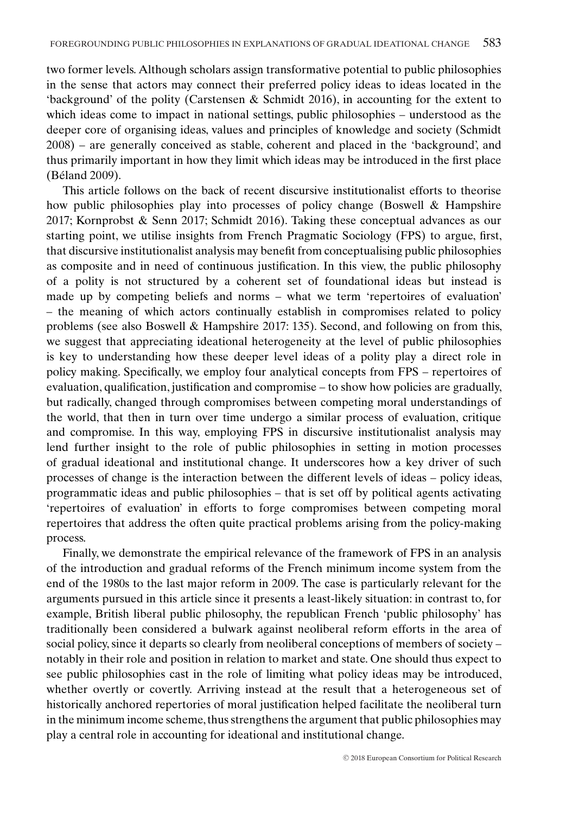two former levels. Although scholars assign transformative potential to public philosophies in the sense that actors may connect their preferred policy ideas to ideas located in the 'background' of the polity (Carstensen & Schmidt 2016), in accounting for the extent to which ideas come to impact in national settings, public philosophies – understood as the deeper core of organising ideas, values and principles of knowledge and society (Schmidt 2008) – are generally conceived as stable, coherent and placed in the 'background', and thus primarily important in how they limit which ideas may be introduced in the first place (Béland 2009).

This article follows on the back of recent discursive institutionalist efforts to theorise how public philosophies play into processes of policy change (Boswell & Hampshire 2017; Kornprobst & Senn 2017; Schmidt 2016). Taking these conceptual advances as our starting point, we utilise insights from French Pragmatic Sociology (FPS) to argue, first, that discursive institutionalist analysis may benefit from conceptualising public philosophies as composite and in need of continuous justification. In this view, the public philosophy of a polity is not structured by a coherent set of foundational ideas but instead is made up by competing beliefs and norms – what we term 'repertoires of evaluation' – the meaning of which actors continually establish in compromises related to policy problems (see also Boswell & Hampshire 2017: 135). Second, and following on from this, we suggest that appreciating ideational heterogeneity at the level of public philosophies is key to understanding how these deeper level ideas of a polity play a direct role in policy making. Specifically, we employ four analytical concepts from FPS – repertoires of evaluation, qualification, justification and compromise – to show how policies are gradually, but radically, changed through compromises between competing moral understandings of the world, that then in turn over time undergo a similar process of evaluation, critique and compromise. In this way, employing FPS in discursive institutionalist analysis may lend further insight to the role of public philosophies in setting in motion processes of gradual ideational and institutional change. It underscores how a key driver of such processes of change is the interaction between the different levels of ideas – policy ideas, programmatic ideas and public philosophies – that is set off by political agents activating 'repertoires of evaluation' in efforts to forge compromises between competing moral repertoires that address the often quite practical problems arising from the policy-making process.

Finally, we demonstrate the empirical relevance of the framework of FPS in an analysis of the introduction and gradual reforms of the French minimum income system from the end of the 1980s to the last major reform in 2009. The case is particularly relevant for the arguments pursued in this article since it presents a least-likely situation: in contrast to, for example, British liberal public philosophy, the republican French 'public philosophy' has traditionally been considered a bulwark against neoliberal reform efforts in the area of social policy, since it departs so clearly from neoliberal conceptions of members of society – notably in their role and position in relation to market and state. One should thus expect to see public philosophies cast in the role of limiting what policy ideas may be introduced, whether overtly or covertly. Arriving instead at the result that a heterogeneous set of historically anchored repertories of moral justification helped facilitate the neoliberal turn in the minimum income scheme, thus strengthens the argument that public philosophies may play a central role in accounting for ideational and institutional change.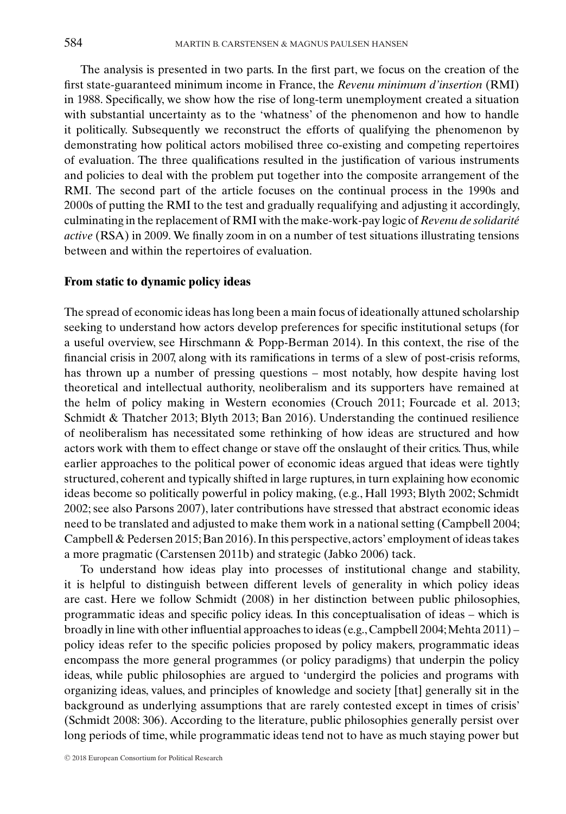The analysis is presented in two parts. In the first part, we focus on the creation of the first state-guaranteed minimum income in France, the *Revenu minimum d'insertion* (RMI) in 1988. Specifically, we show how the rise of long-term unemployment created a situation with substantial uncertainty as to the 'whatness' of the phenomenon and how to handle it politically. Subsequently we reconstruct the efforts of qualifying the phenomenon by demonstrating how political actors mobilised three co-existing and competing repertoires of evaluation. The three qualifications resulted in the justification of various instruments and policies to deal with the problem put together into the composite arrangement of the RMI. The second part of the article focuses on the continual process in the 1990s and 2000s of putting the RMI to the test and gradually requalifying and adjusting it accordingly, culminating in the replacement of RMI with the make-work-pay logic of *Revenu de solidarité active* (RSA) in 2009. We finally zoom in on a number of test situations illustrating tensions between and within the repertoires of evaluation.

#### **From static to dynamic policy ideas**

The spread of economic ideas has long been a main focus of ideationally attuned scholarship seeking to understand how actors develop preferences for specific institutional setups (for a useful overview, see Hirschmann & Popp-Berman 2014). In this context, the rise of the financial crisis in 2007, along with its ramifications in terms of a slew of post-crisis reforms, has thrown up a number of pressing questions – most notably, how despite having lost theoretical and intellectual authority, neoliberalism and its supporters have remained at the helm of policy making in Western economies (Crouch 2011; Fourcade et al. 2013; Schmidt & Thatcher 2013; Blyth 2013; Ban 2016). Understanding the continued resilience of neoliberalism has necessitated some rethinking of how ideas are structured and how actors work with them to effect change or stave off the onslaught of their critics. Thus, while earlier approaches to the political power of economic ideas argued that ideas were tightly structured, coherent and typically shifted in large ruptures, in turn explaining how economic ideas become so politically powerful in policy making, (e.g., Hall 1993; Blyth 2002; Schmidt 2002; see also Parsons 2007), later contributions have stressed that abstract economic ideas need to be translated and adjusted to make them work in a national setting (Campbell 2004; Campbell & Pedersen 2015;Ban 2016). In this perspective, actors' employment of ideas takes a more pragmatic (Carstensen 2011b) and strategic (Jabko 2006) tack.

To understand how ideas play into processes of institutional change and stability, it is helpful to distinguish between different levels of generality in which policy ideas are cast. Here we follow Schmidt (2008) in her distinction between public philosophies, programmatic ideas and specific policy ideas. In this conceptualisation of ideas – which is broadly in line with other influential approaches to ideas (e.g., Campbell 2004; Mehta 2011) – policy ideas refer to the specific policies proposed by policy makers, programmatic ideas encompass the more general programmes (or policy paradigms) that underpin the policy ideas, while public philosophies are argued to 'undergird the policies and programs with organizing ideas, values, and principles of knowledge and society [that] generally sit in the background as underlying assumptions that are rarely contested except in times of crisis' (Schmidt 2008: 306). According to the literature, public philosophies generally persist over long periods of time, while programmatic ideas tend not to have as much staying power but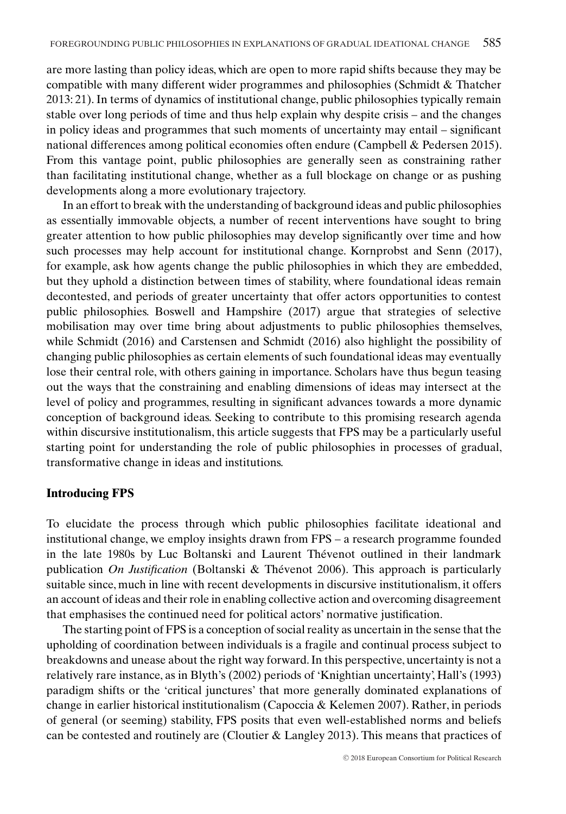are more lasting than policy ideas, which are open to more rapid shifts because they may be compatible with many different wider programmes and philosophies (Schmidt & Thatcher 2013: 21). In terms of dynamics of institutional change, public philosophies typically remain stable over long periods of time and thus help explain why despite crisis – and the changes in policy ideas and programmes that such moments of uncertainty may entail – significant national differences among political economies often endure (Campbell & Pedersen 2015). From this vantage point, public philosophies are generally seen as constraining rather than facilitating institutional change, whether as a full blockage on change or as pushing developments along a more evolutionary trajectory.

In an effort to break with the understanding of background ideas and public philosophies as essentially immovable objects, a number of recent interventions have sought to bring greater attention to how public philosophies may develop significantly over time and how such processes may help account for institutional change. Kornprobst and Senn (2017), for example, ask how agents change the public philosophies in which they are embedded, but they uphold a distinction between times of stability, where foundational ideas remain decontested, and periods of greater uncertainty that offer actors opportunities to contest public philosophies. Boswell and Hampshire (2017) argue that strategies of selective mobilisation may over time bring about adjustments to public philosophies themselves, while Schmidt (2016) and Carstensen and Schmidt (2016) also highlight the possibility of changing public philosophies as certain elements of such foundational ideas may eventually lose their central role, with others gaining in importance. Scholars have thus begun teasing out the ways that the constraining and enabling dimensions of ideas may intersect at the level of policy and programmes, resulting in significant advances towards a more dynamic conception of background ideas. Seeking to contribute to this promising research agenda within discursive institutionalism, this article suggests that FPS may be a particularly useful starting point for understanding the role of public philosophies in processes of gradual, transformative change in ideas and institutions.

## **Introducing FPS**

To elucidate the process through which public philosophies facilitate ideational and institutional change, we employ insights drawn from FPS – a research programme founded in the late 1980s by Luc Boltanski and Laurent Thévenot outlined in their landmark publication *On Justification* (Boltanski & Thévenot 2006). This approach is particularly suitable since, much in line with recent developments in discursive institutionalism, it offers an account of ideas and their role in enabling collective action and overcoming disagreement that emphasises the continued need for political actors' normative justification.

The starting point of FPS is a conception of social reality as uncertain in the sense that the upholding of coordination between individuals is a fragile and continual process subject to breakdowns and unease about the right way forward. In this perspective, uncertainty is not a relatively rare instance, as in Blyth's (2002) periods of 'Knightian uncertainty', Hall's (1993) paradigm shifts or the 'critical junctures' that more generally dominated explanations of change in earlier historical institutionalism (Capoccia & Kelemen 2007). Rather, in periods of general (or seeming) stability, FPS posits that even well-established norms and beliefs can be contested and routinely are (Cloutier & Langley 2013). This means that practices of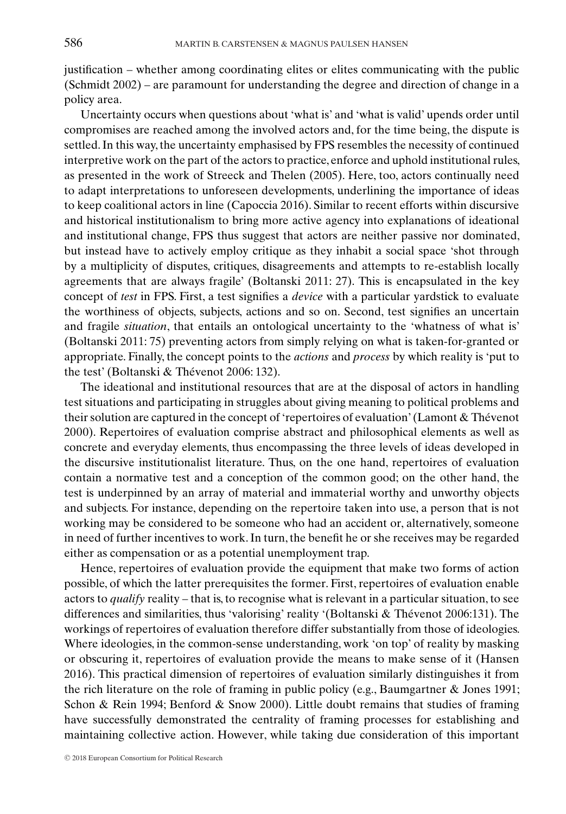justification – whether among coordinating elites or elites communicating with the public (Schmidt 2002) – are paramount for understanding the degree and direction of change in a policy area.

Uncertainty occurs when questions about 'what is' and 'what is valid' upends order until compromises are reached among the involved actors and, for the time being, the dispute is settled. In this way, the uncertainty emphasised by FPS resembles the necessity of continued interpretive work on the part of the actors to practice, enforce and uphold institutional rules, as presented in the work of Streeck and Thelen (2005). Here, too, actors continually need to adapt interpretations to unforeseen developments, underlining the importance of ideas to keep coalitional actors in line (Capoccia 2016). Similar to recent efforts within discursive and historical institutionalism to bring more active agency into explanations of ideational and institutional change, FPS thus suggest that actors are neither passive nor dominated, but instead have to actively employ critique as they inhabit a social space 'shot through by a multiplicity of disputes, critiques, disagreements and attempts to re-establish locally agreements that are always fragile' (Boltanski 2011: 27). This is encapsulated in the key concept of *test* in FPS. First, a test signifies a *device* with a particular yardstick to evaluate the worthiness of objects, subjects, actions and so on. Second, test signifies an uncertain and fragile *situation*, that entails an ontological uncertainty to the 'whatness of what is' (Boltanski 2011: 75) preventing actors from simply relying on what is taken-for-granted or appropriate. Finally, the concept points to the *actions* and *process* by which reality is 'put to the test' (Boltanski & Thévenot 2006: 132).

The ideational and institutional resources that are at the disposal of actors in handling test situations and participating in struggles about giving meaning to political problems and their solution are captured in the concept of 'repertoires of evaluation' (Lamont & Thévenot 2000). Repertoires of evaluation comprise abstract and philosophical elements as well as concrete and everyday elements, thus encompassing the three levels of ideas developed in the discursive institutionalist literature. Thus, on the one hand, repertoires of evaluation contain a normative test and a conception of the common good; on the other hand, the test is underpinned by an array of material and immaterial worthy and unworthy objects and subjects. For instance, depending on the repertoire taken into use, a person that is not working may be considered to be someone who had an accident or, alternatively, someone in need of further incentives to work. In turn, the benefit he or she receives may be regarded either as compensation or as a potential unemployment trap.

Hence, repertoires of evaluation provide the equipment that make two forms of action possible, of which the latter prerequisites the former. First, repertoires of evaluation enable actors to *qualify* reality – that is, to recognise what is relevant in a particular situation, to see differences and similarities, thus 'valorising' reality '(Boltanski & Thévenot 2006:131). The workings of repertoires of evaluation therefore differ substantially from those of ideologies. Where ideologies, in the common-sense understanding, work 'on top' of reality by masking or obscuring it, repertoires of evaluation provide the means to make sense of it (Hansen 2016). This practical dimension of repertoires of evaluation similarly distinguishes it from the rich literature on the role of framing in public policy (e.g., Baumgartner & Jones 1991; Schon & Rein 1994; Benford & Snow 2000). Little doubt remains that studies of framing have successfully demonstrated the centrality of framing processes for establishing and maintaining collective action. However, while taking due consideration of this important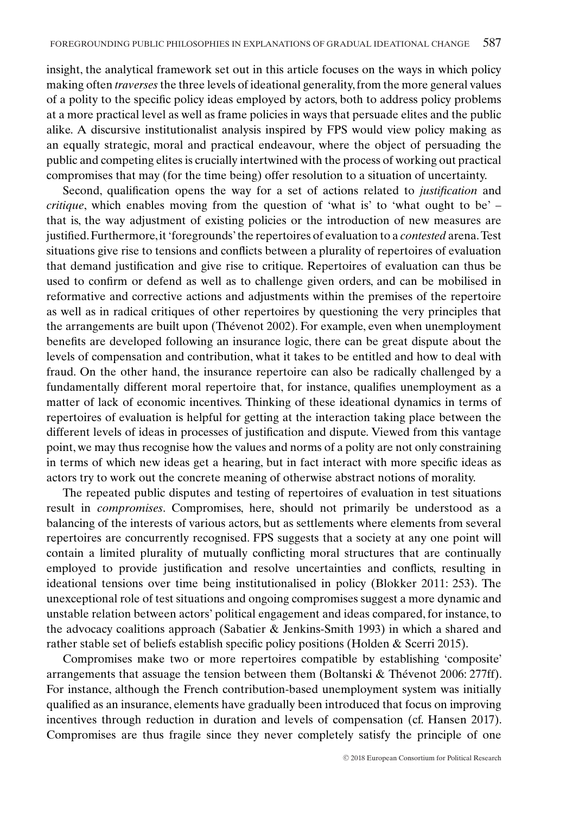insight, the analytical framework set out in this article focuses on the ways in which policy making often *traverses*the three levels of ideational generality, from the more general values of a polity to the specific policy ideas employed by actors, both to address policy problems at a more practical level as well as frame policies in ways that persuade elites and the public alike. A discursive institutionalist analysis inspired by FPS would view policy making as an equally strategic, moral and practical endeavour, where the object of persuading the public and competing elites is crucially intertwined with the process of working out practical compromises that may (for the time being) offer resolution to a situation of uncertainty.

Second, qualification opens the way for a set of actions related to *justification* and *critique*, which enables moving from the question of 'what is' to 'what ought to be' – that is, the way adjustment of existing policies or the introduction of new measures are justified.Furthermore,it 'foregrounds' the repertoires of evaluation to a *contested* arena.Test situations give rise to tensions and conflicts between a plurality of repertoires of evaluation that demand justification and give rise to critique. Repertoires of evaluation can thus be used to confirm or defend as well as to challenge given orders, and can be mobilised in reformative and corrective actions and adjustments within the premises of the repertoire as well as in radical critiques of other repertoires by questioning the very principles that the arrangements are built upon (Thévenot 2002). For example, even when unemployment benefits are developed following an insurance logic, there can be great dispute about the levels of compensation and contribution, what it takes to be entitled and how to deal with fraud. On the other hand, the insurance repertoire can also be radically challenged by a fundamentally different moral repertoire that, for instance, qualifies unemployment as a matter of lack of economic incentives. Thinking of these ideational dynamics in terms of repertoires of evaluation is helpful for getting at the interaction taking place between the different levels of ideas in processes of justification and dispute. Viewed from this vantage point, we may thus recognise how the values and norms of a polity are not only constraining in terms of which new ideas get a hearing, but in fact interact with more specific ideas as actors try to work out the concrete meaning of otherwise abstract notions of morality.

The repeated public disputes and testing of repertoires of evaluation in test situations result in *compromises*. Compromises, here, should not primarily be understood as a balancing of the interests of various actors, but as settlements where elements from several repertoires are concurrently recognised. FPS suggests that a society at any one point will contain a limited plurality of mutually conflicting moral structures that are continually employed to provide justification and resolve uncertainties and conflicts, resulting in ideational tensions over time being institutionalised in policy (Blokker 2011: 253). The unexceptional role of test situations and ongoing compromises suggest a more dynamic and unstable relation between actors' political engagement and ideas compared, for instance, to the advocacy coalitions approach (Sabatier & Jenkins-Smith 1993) in which a shared and rather stable set of beliefs establish specific policy positions (Holden & Scerri 2015).

Compromises make two or more repertoires compatible by establishing 'composite' arrangements that assuage the tension between them (Boltanski & Thévenot 2006: 277ff). For instance, although the French contribution-based unemployment system was initially qualified as an insurance, elements have gradually been introduced that focus on improving incentives through reduction in duration and levels of compensation (cf. Hansen 2017). Compromises are thus fragile since they never completely satisfy the principle of one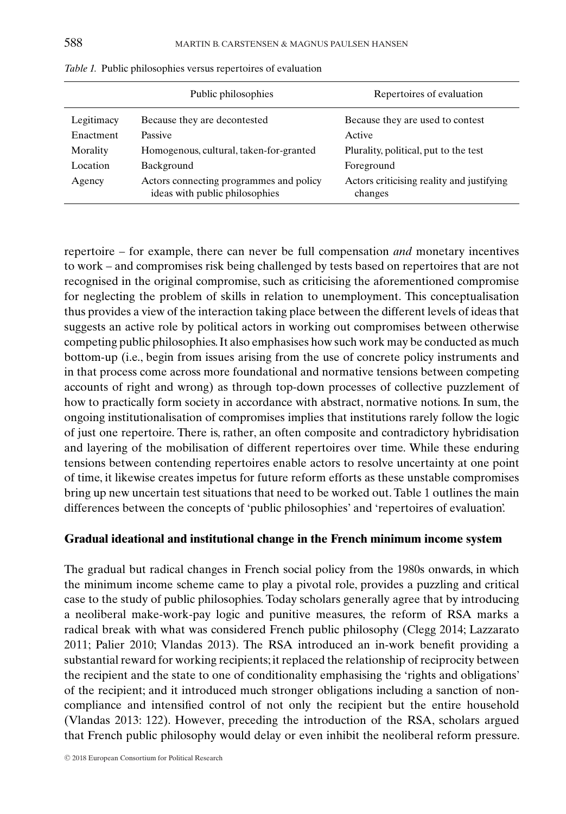|            | Public philosophies                                                       | Repertoires of evaluation                            |  |
|------------|---------------------------------------------------------------------------|------------------------------------------------------|--|
| Legitimacy | Because they are decontested                                              | Because they are used to contest                     |  |
| Enactment  | Passive                                                                   | Active<br>Plurality, political, put to the test      |  |
| Morality   | Homogenous, cultural, taken-for-granted                                   |                                                      |  |
| Location   | Background                                                                | Foreground                                           |  |
| Agency     | Actors connecting programmes and policy<br>ideas with public philosophies | Actors criticising reality and justifying<br>changes |  |

*Table 1.* Public philosophies versus repertoires of evaluation

repertoire – for example, there can never be full compensation *and* monetary incentives to work – and compromises risk being challenged by tests based on repertoires that are not recognised in the original compromise, such as criticising the aforementioned compromise for neglecting the problem of skills in relation to unemployment. This conceptualisation thus provides a view of the interaction taking place between the different levels of ideas that suggests an active role by political actors in working out compromises between otherwise competing public philosophies. It also emphasises how such work may be conducted as much bottom-up (i.e., begin from issues arising from the use of concrete policy instruments and in that process come across more foundational and normative tensions between competing accounts of right and wrong) as through top-down processes of collective puzzlement of how to practically form society in accordance with abstract, normative notions. In sum, the ongoing institutionalisation of compromises implies that institutions rarely follow the logic of just one repertoire. There is, rather, an often composite and contradictory hybridisation and layering of the mobilisation of different repertoires over time. While these enduring tensions between contending repertoires enable actors to resolve uncertainty at one point of time, it likewise creates impetus for future reform efforts as these unstable compromises bring up new uncertain test situations that need to be worked out. Table 1 outlines the main differences between the concepts of 'public philosophies' and 'repertoires of evaluation'.

### **Gradual ideational and institutional change in the French minimum income system**

The gradual but radical changes in French social policy from the 1980s onwards, in which the minimum income scheme came to play a pivotal role, provides a puzzling and critical case to the study of public philosophies. Today scholars generally agree that by introducing a neoliberal make-work-pay logic and punitive measures, the reform of RSA marks a radical break with what was considered French public philosophy (Clegg 2014; Lazzarato 2011; Palier 2010; Vlandas 2013). The RSA introduced an in-work benefit providing a substantial reward for working recipients; it replaced the relationship of reciprocity between the recipient and the state to one of conditionality emphasising the 'rights and obligations' of the recipient; and it introduced much stronger obligations including a sanction of noncompliance and intensified control of not only the recipient but the entire household (Vlandas 2013: 122). However, preceding the introduction of the RSA, scholars argued that French public philosophy would delay or even inhibit the neoliberal reform pressure.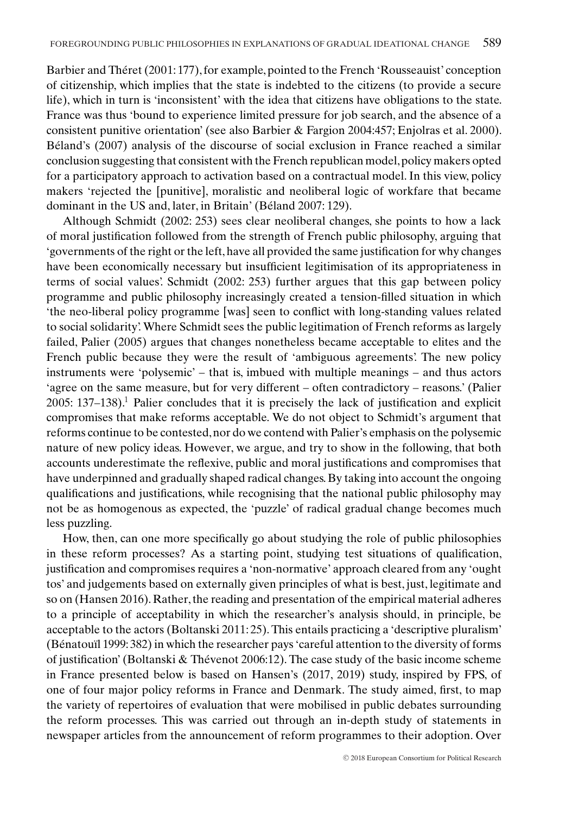Barbier and Théret (2001: 177), for example, pointed to the French 'Rousseauist' conception of citizenship, which implies that the state is indebted to the citizens (to provide a secure life), which in turn is 'inconsistent' with the idea that citizens have obligations to the state. France was thus 'bound to experience limited pressure for job search, and the absence of a consistent punitive orientation' (see also Barbier & Fargion 2004:457; Enjolras et al. 2000). Béland's (2007) analysis of the discourse of social exclusion in France reached a similar conclusion suggesting that consistent with the French republican model, policy makers opted for a participatory approach to activation based on a contractual model. In this view, policy makers 'rejected the [punitive], moralistic and neoliberal logic of workfare that became dominant in the US and, later, in Britain' (Béland 2007: 129).

Although Schmidt (2002: 253) sees clear neoliberal changes, she points to how a lack of moral justification followed from the strength of French public philosophy, arguing that 'governments of the right or the left, have all provided the same justification for why changes have been economically necessary but insufficient legitimisation of its appropriateness in terms of social values'. Schmidt (2002: 253) further argues that this gap between policy programme and public philosophy increasingly created a tension-filled situation in which 'the neo-liberal policy programme [was] seen to conflict with long-standing values related to social solidarity'.Where Schmidt sees the public legitimation of French reforms as largely failed, Palier (2005) argues that changes nonetheless became acceptable to elites and the French public because they were the result of 'ambiguous agreements'. The new policy instruments were 'polysemic' – that is, imbued with multiple meanings – and thus actors 'agree on the same measure, but for very different – often contradictory – reasons.' (Palier  $2005: 137-138$ ).<sup>1</sup> Palier concludes that it is precisely the lack of justification and explicit compromises that make reforms acceptable. We do not object to Schmidt's argument that reforms continue to be contested, nor do we contend with Palier's emphasis on the polysemic nature of new policy ideas. However, we argue, and try to show in the following, that both accounts underestimate the reflexive, public and moral justifications and compromises that have underpinned and gradually shaped radical changes. By taking into account the ongoing qualifications and justifications, while recognising that the national public philosophy may not be as homogenous as expected, the 'puzzle' of radical gradual change becomes much less puzzling.

How, then, can one more specifically go about studying the role of public philosophies in these reform processes? As a starting point, studying test situations of qualification, justification and compromises requires a 'non-normative' approach cleared from any 'ought tos' and judgements based on externally given principles of what is best, just, legitimate and so on (Hansen 2016). Rather, the reading and presentation of the empirical material adheres to a principle of acceptability in which the researcher's analysis should, in principle, be acceptable to the actors (Boltanski 2011: 25). This entails practicing a 'descriptive pluralism' (Bénatouïl 1999: 382) in which the researcher pays 'careful attention to the diversity of forms of justification' (Boltanski & Thévenot 2006:12). The case study of the basic income scheme in France presented below is based on Hansen's (2017, 2019) study, inspired by FPS, of one of four major policy reforms in France and Denmark. The study aimed, first, to map the variety of repertoires of evaluation that were mobilised in public debates surrounding the reform processes. This was carried out through an in-depth study of statements in newspaper articles from the announcement of reform programmes to their adoption. Over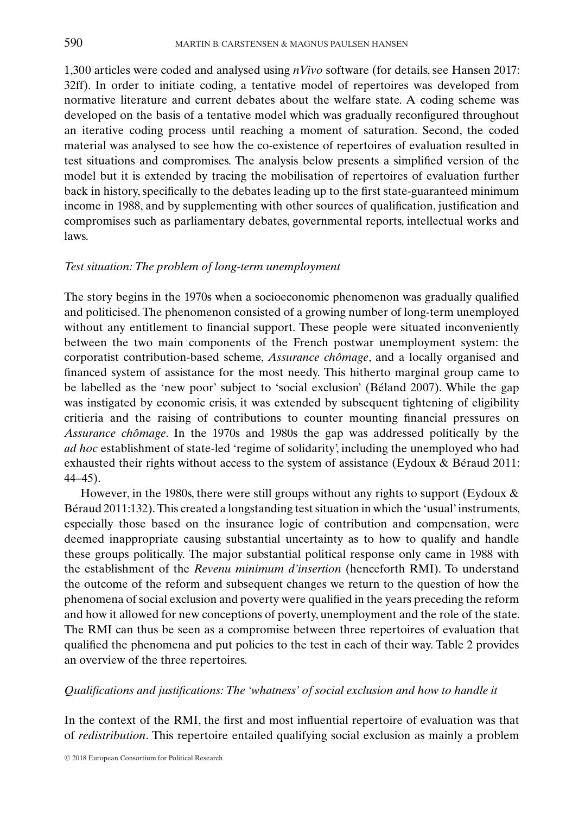1,300 articles were coded and analysed using *nVivo* software (for details, see Hansen 2017: 32ff). In order to initiate coding, a tentative model of repertoires was developed from normative literature and current debates about the welfare state. A coding scheme was developed on the basis of a tentative model which was gradually reconfigured throughout an iterative coding process until reaching a moment of saturation. Second, the coded material was analysed to see how the co-existence of repertoires of evaluation resulted in test situations and compromises. The analysis below presents a simplified version of the model but it is extended by tracing the mobilisation of repertoires of evaluation further back in history, specifically to the debates leading up to the first state-guaranteed minimum income in 1988, and by supplementing with other sources of qualification, justification and compromises such as parliamentary debates, governmental reports, intellectual works and laws.

#### *Test situation: The problem of long-term unemployment*

The story begins in the 1970s when a socioeconomic phenomenon was gradually qualified and politicised. The phenomenon consisted of a growing number of long-term unemployed without any entitlement to financial support. These people were situated inconveniently between the two main components of the French postwar unemployment system: the corporatist contribution-based scheme, *Assurance chômage*, and a locally organised and financed system of assistance for the most needy. This hitherto marginal group came to be labelled as the 'new poor' subject to 'social exclusion' (Béland 2007). While the gap was instigated by economic crisis, it was extended by subsequent tightening of eligibility critieria and the raising of contributions to counter mounting financial pressures on *Assurance chômage*. In the 1970s and 1980s the gap was addressed politically by the *ad hoc* establishment of state-led 'regime of solidarity', including the unemployed who had exhausted their rights without access to the system of assistance (Eydoux & Béraud 2011: 44–45).

However, in the 1980s, there were still groups without any rights to support (Eydoux & Béraud 2011:132).This created a longstanding test situation in which the 'usual' instruments, especially those based on the insurance logic of contribution and compensation, were deemed inappropriate causing substantial uncertainty as to how to qualify and handle these groups politically. The major substantial political response only came in 1988 with the establishment of the *Revenu minimum d'insertion* (henceforth RMI). To understand the outcome of the reform and subsequent changes we return to the question of how the phenomena of social exclusion and poverty were qualified in the years preceding the reform and how it allowed for new conceptions of poverty, unemployment and the role of the state. The RMI can thus be seen as a compromise between three repertoires of evaluation that qualified the phenomena and put policies to the test in each of their way. Table 2 provides an overview of the three repertoires.

### *Qualifications and justifications: The 'whatness' of social exclusion and how to handle it*

In the context of the RMI, the first and most influential repertoire of evaluation was that of *redistribution*. This repertoire entailed qualifying social exclusion as mainly a problem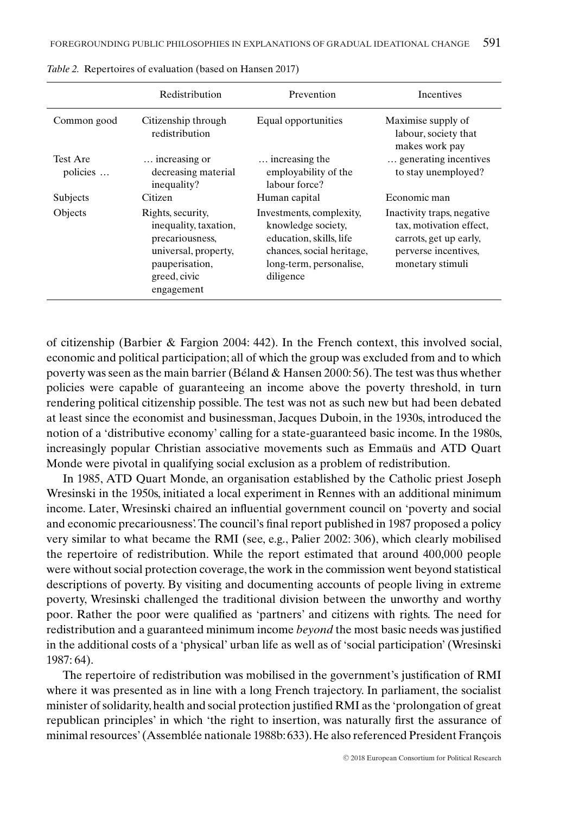|                      | Redistribution                                                                                                                        | Prevention                                                                                                                                     | <b>Incentives</b>                                                                                                           |
|----------------------|---------------------------------------------------------------------------------------------------------------------------------------|------------------------------------------------------------------------------------------------------------------------------------------------|-----------------------------------------------------------------------------------------------------------------------------|
| Common good          | Citizenship through<br>redistribution                                                                                                 | Equal opportunities                                                                                                                            | Maximise supply of<br>labour, society that<br>makes work pay                                                                |
| Test Are<br>policies | increasing or<br>decreasing material<br>inequality?                                                                                   | increasing the<br>employability of the<br>labour force?                                                                                        | generating incentives<br>to stay unemployed?                                                                                |
| Subjects             | Citizen                                                                                                                               | Human capital                                                                                                                                  | Economic man                                                                                                                |
| Objects              | Rights, security,<br>inequality, taxation,<br>precariousness,<br>universal, property,<br>pauperisation,<br>greed, civic<br>engagement | Investments, complexity,<br>knowledge society,<br>education, skills, life<br>chances, social heritage,<br>long-term, personalise,<br>diligence | Inactivity traps, negative<br>tax, motivation effect,<br>carrots, get up early,<br>perverse incentives,<br>monetary stimuli |

*Table 2.* Repertoires of evaluation (based on Hansen 2017)

of citizenship (Barbier & Fargion 2004: 442). In the French context, this involved social, economic and political participation; all of which the group was excluded from and to which poverty was seen as the main barrier (Béland & Hansen 2000: 56).The test was thus whether policies were capable of guaranteeing an income above the poverty threshold, in turn rendering political citizenship possible. The test was not as such new but had been debated at least since the economist and businessman, Jacques Duboin, in the 1930s, introduced the notion of a 'distributive economy' calling for a state-guaranteed basic income. In the 1980s, increasingly popular Christian associative movements such as Emmaüs and ATD Quart Monde were pivotal in qualifying social exclusion as a problem of redistribution.

In 1985, ATD Quart Monde, an organisation established by the Catholic priest Joseph Wresinski in the 1950s, initiated a local experiment in Rennes with an additional minimum income. Later, Wresinski chaired an influential government council on 'poverty and social and economic precariousness'. The council's final report published in 1987 proposed a policy very similar to what became the RMI (see, e.g., Palier 2002: 306), which clearly mobilised the repertoire of redistribution. While the report estimated that around 400,000 people were without social protection coverage, the work in the commission went beyond statistical descriptions of poverty. By visiting and documenting accounts of people living in extreme poverty, Wresinski challenged the traditional division between the unworthy and worthy poor. Rather the poor were qualified as 'partners' and citizens with rights. The need for redistribution and a guaranteed minimum income *beyond* the most basic needs was justified in the additional costs of a 'physical' urban life as well as of 'social participation' (Wresinski 1987: 64).

The repertoire of redistribution was mobilised in the government's justification of RMI where it was presented as in line with a long French trajectory. In parliament, the socialist minister of solidarity, health and social protection justified RMI as the 'prolongation of great republican principles' in which 'the right to insertion, was naturally first the assurance of minimal resources' (Assemblée nationale 1988b: 633).He also referenced President François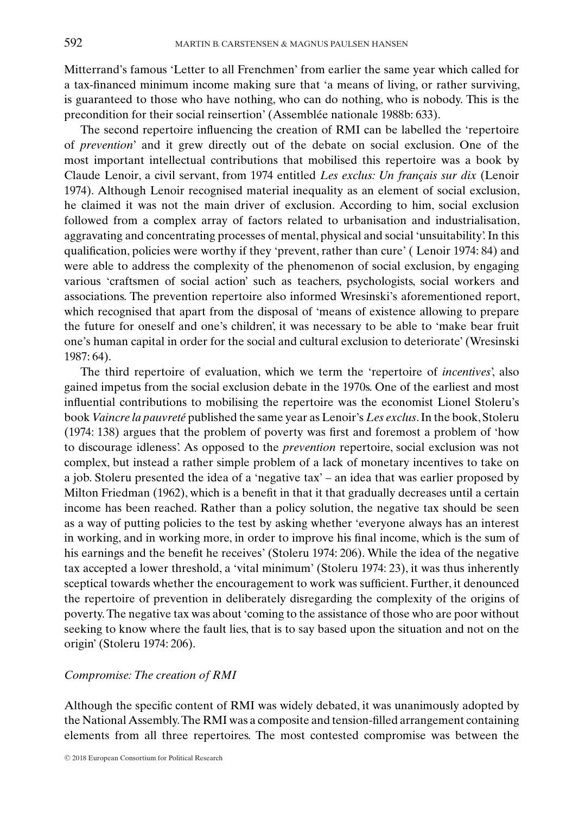Mitterrand's famous 'Letter to all Frenchmen' from earlier the same year which called for a tax-financed minimum income making sure that 'a means of living, or rather surviving, is guaranteed to those who have nothing, who can do nothing, who is nobody. This is the precondition for their social reinsertion' (Assemblée nationale 1988b: 633).

The second repertoire influencing the creation of RMI can be labelled the 'repertoire of *prevention*' and it grew directly out of the debate on social exclusion. One of the most important intellectual contributions that mobilised this repertoire was a book by Claude Lenoir, a civil servant, from 1974 entitled *Les exclus: Un français sur dix* (Lenoir 1974). Although Lenoir recognised material inequality as an element of social exclusion, he claimed it was not the main driver of exclusion. According to him, social exclusion followed from a complex array of factors related to urbanisation and industrialisation, aggravating and concentrating processes of mental, physical and social 'unsuitability'. In this qualification, policies were worthy if they 'prevent, rather than cure' ( Lenoir 1974: 84) and were able to address the complexity of the phenomenon of social exclusion, by engaging various 'craftsmen of social action' such as teachers, psychologists, social workers and associations. The prevention repertoire also informed Wresinski's aforementioned report, which recognised that apart from the disposal of 'means of existence allowing to prepare the future for oneself and one's children', it was necessary to be able to 'make bear fruit one's human capital in order for the social and cultural exclusion to deteriorate' (Wresinski 1987: 64).

The third repertoire of evaluation, which we term the 'repertoire of *incentives*', also gained impetus from the social exclusion debate in the 1970s. One of the earliest and most influential contributions to mobilising the repertoire was the economist Lionel Stoleru's book *Vaincre la pauvreté* published the same year as Lenoir's *Les exclus*. In the book, Stoleru (1974: 138) argues that the problem of poverty was first and foremost a problem of 'how to discourage idleness'. As opposed to the *prevention* repertoire, social exclusion was not complex, but instead a rather simple problem of a lack of monetary incentives to take on a job. Stoleru presented the idea of a 'negative tax' – an idea that was earlier proposed by Milton Friedman (1962), which is a benefit in that it that gradually decreases until a certain income has been reached. Rather than a policy solution, the negative tax should be seen as a way of putting policies to the test by asking whether 'everyone always has an interest in working, and in working more, in order to improve his final income, which is the sum of his earnings and the benefit he receives' (Stoleru 1974: 206). While the idea of the negative tax accepted a lower threshold, a 'vital minimum' (Stoleru 1974: 23), it was thus inherently sceptical towards whether the encouragement to work was sufficient. Further, it denounced the repertoire of prevention in deliberately disregarding the complexity of the origins of poverty. The negative tax was about 'coming to the assistance of those who are poor without seeking to know where the fault lies, that is to say based upon the situation and not on the origin' (Stoleru 1974: 206).

#### *Compromise: The creation of RMI*

Although the specific content of RMI was widely debated, it was unanimously adopted by the National Assembly.The RMI was a composite and tension-filled arrangement containing elements from all three repertoires. The most contested compromise was between the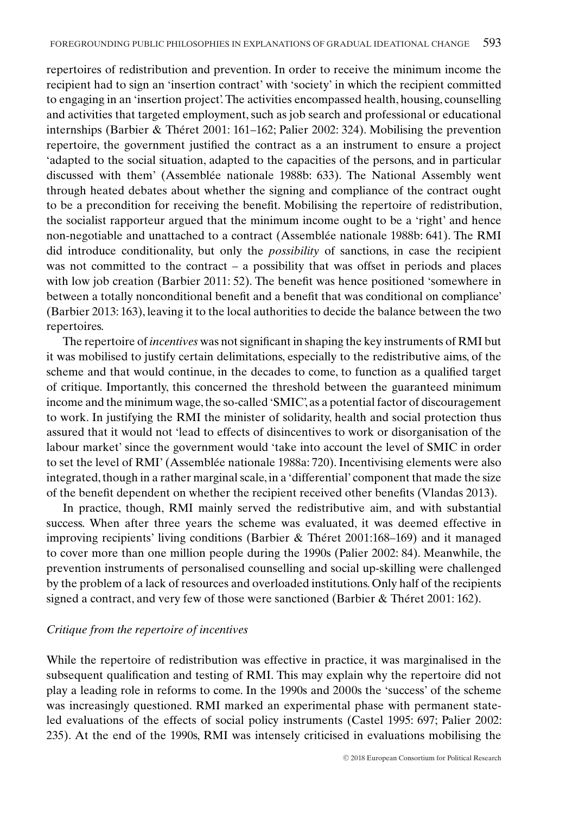repertoires of redistribution and prevention. In order to receive the minimum income the recipient had to sign an 'insertion contract' with 'society' in which the recipient committed to engaging in an 'insertion project'. The activities encompassed health, housing, counselling and activities that targeted employment, such as job search and professional or educational internships (Barbier & Théret 2001: 161–162; Palier 2002: 324). Mobilising the prevention repertoire, the government justified the contract as a an instrument to ensure a project 'adapted to the social situation, adapted to the capacities of the persons, and in particular discussed with them' (Assemblée nationale 1988b: 633). The National Assembly went through heated debates about whether the signing and compliance of the contract ought to be a precondition for receiving the benefit. Mobilising the repertoire of redistribution, the socialist rapporteur argued that the minimum income ought to be a 'right' and hence non-negotiable and unattached to a contract (Assemblée nationale 1988b: 641). The RMI did introduce conditionality, but only the *possibility* of sanctions, in case the recipient was not committed to the contract – a possibility that was offset in periods and places with low job creation (Barbier 2011: 52). The benefit was hence positioned 'somewhere in between a totally nonconditional benefit and a benefit that was conditional on compliance' (Barbier 2013: 163), leaving it to the local authorities to decide the balance between the two repertoires.

The repertoire of *incentives* was not significant in shaping the key instruments of RMI but it was mobilised to justify certain delimitations, especially to the redistributive aims, of the scheme and that would continue, in the decades to come, to function as a qualified target of critique. Importantly, this concerned the threshold between the guaranteed minimum income and the minimum wage, the so-called 'SMIC', as a potential factor of discouragement to work. In justifying the RMI the minister of solidarity, health and social protection thus assured that it would not 'lead to effects of disincentives to work or disorganisation of the labour market' since the government would 'take into account the level of SMIC in order to set the level of RMI' (Assemblée nationale 1988a: 720). Incentivising elements were also integrated, though in a rather marginal scale,in a 'differential' component that made the size of the benefit dependent on whether the recipient received other benefits (Vlandas 2013).

In practice, though, RMI mainly served the redistributive aim, and with substantial success. When after three years the scheme was evaluated, it was deemed effective in improving recipients' living conditions (Barbier & Théret 2001:168–169) and it managed to cover more than one million people during the 1990s (Palier 2002: 84). Meanwhile, the prevention instruments of personalised counselling and social up-skilling were challenged by the problem of a lack of resources and overloaded institutions. Only half of the recipients signed a contract, and very few of those were sanctioned (Barbier & Théret 2001: 162).

### *Critique from the repertoire of incentives*

While the repertoire of redistribution was effective in practice, it was marginalised in the subsequent qualification and testing of RMI. This may explain why the repertoire did not play a leading role in reforms to come. In the 1990s and 2000s the 'success' of the scheme was increasingly questioned. RMI marked an experimental phase with permanent stateled evaluations of the effects of social policy instruments (Castel 1995: 697; Palier 2002: 235). At the end of the 1990s, RMI was intensely criticised in evaluations mobilising the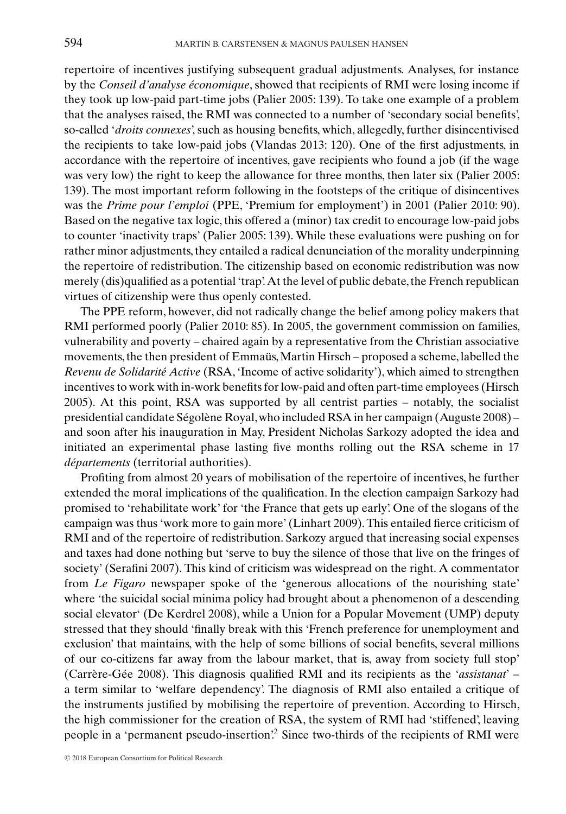repertoire of incentives justifying subsequent gradual adjustments. Analyses, for instance by the *Conseil d'analyse économique*, showed that recipients of RMI were losing income if they took up low-paid part-time jobs (Palier 2005: 139). To take one example of a problem that the analyses raised, the RMI was connected to a number of 'secondary social benefits', so-called '*droits connexes*', such as housing benefits, which, allegedly, further disincentivised the recipients to take low-paid jobs (Vlandas 2013: 120). One of the first adjustments, in accordance with the repertoire of incentives, gave recipients who found a job (if the wage was very low) the right to keep the allowance for three months, then later six (Palier 2005: 139). The most important reform following in the footsteps of the critique of disincentives was the *Prime pour l'emploi* (PPE, 'Premium for employment') in 2001 (Palier 2010: 90). Based on the negative tax logic, this offered a (minor) tax credit to encourage low-paid jobs to counter 'inactivity traps' (Palier 2005: 139). While these evaluations were pushing on for rather minor adjustments, they entailed a radical denunciation of the morality underpinning the repertoire of redistribution. The citizenship based on economic redistribution was now merely (dis)qualified as a potential 'trap'.At the level of public debate, the French republican virtues of citizenship were thus openly contested.

The PPE reform, however, did not radically change the belief among policy makers that RMI performed poorly (Palier 2010: 85). In 2005, the government commission on families, vulnerability and poverty – chaired again by a representative from the Christian associative movements, the then president of Emmaüs,Martin Hirsch – proposed a scheme, labelled the *Revenu de Solidarité Active* (RSA, 'Income of active solidarity'), which aimed to strengthen incentives to work with in-work benefits for low-paid and often part-time employees (Hirsch 2005). At this point, RSA was supported by all centrist parties – notably, the socialist presidential candidate Ségolène Royal,who included RSA in her campaign (Auguste 2008) – and soon after his inauguration in May, President Nicholas Sarkozy adopted the idea and initiated an experimental phase lasting five months rolling out the RSA scheme in 17 *départements* (territorial authorities).

Profiting from almost 20 years of mobilisation of the repertoire of incentives, he further extended the moral implications of the qualification. In the election campaign Sarkozy had promised to 'rehabilitate work' for 'the France that gets up early'. One of the slogans of the campaign was thus 'work more to gain more' (Linhart 2009). This entailed fierce criticism of RMI and of the repertoire of redistribution. Sarkozy argued that increasing social expenses and taxes had done nothing but 'serve to buy the silence of those that live on the fringes of society' (Serafini 2007). This kind of criticism was widespread on the right. A commentator from *Le Figaro* newspaper spoke of the 'generous allocations of the nourishing state' where 'the suicidal social minima policy had brought about a phenomenon of a descending social elevator' (De Kerdrel 2008), while a Union for a Popular Movement (UMP) deputy stressed that they should 'finally break with this 'French preference for unemployment and exclusion' that maintains, with the help of some billions of social benefits, several millions of our co-citizens far away from the labour market, that is, away from society full stop' (Carrère-Gée 2008). This diagnosis qualified RMI and its recipients as the '*assistanat*' – a term similar to 'welfare dependency'. The diagnosis of RMI also entailed a critique of the instruments justified by mobilising the repertoire of prevention. According to Hirsch, the high commissioner for the creation of RSA, the system of RMI had 'stiffened', leaving people in a 'permanent pseudo-insertion'.<sup>2</sup> Since two-thirds of the recipients of RMI were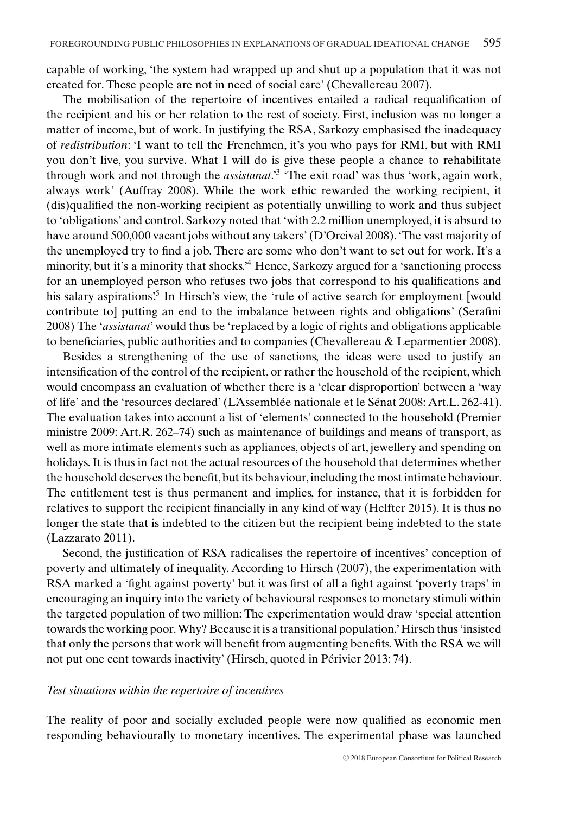capable of working, 'the system had wrapped up and shut up a population that it was not created for. These people are not in need of social care' (Chevallereau 2007).

The mobilisation of the repertoire of incentives entailed a radical requalification of the recipient and his or her relation to the rest of society. First, inclusion was no longer a matter of income, but of work. In justifying the RSA, Sarkozy emphasised the inadequacy of *redistribution*: 'I want to tell the Frenchmen, it's you who pays for RMI, but with RMI you don't live, you survive. What I will do is give these people a chance to rehabilitate through work and not through the *assistanat*.'3 'The exit road' was thus 'work, again work, always work' (Auffray 2008). While the work ethic rewarded the working recipient, it (dis)qualified the non-working recipient as potentially unwilling to work and thus subject to 'obligations' and control. Sarkozy noted that 'with 2.2 million unemployed, it is absurd to have around 500,000 vacant jobs without any takers' (D'Orcival 2008). 'The vast majority of the unemployed try to find a job. There are some who don't want to set out for work. It's a minority, but it's a minority that shocks.<sup>4</sup> Hence, Sarkozy argued for a 'sanctioning process for an unemployed person who refuses two jobs that correspond to his qualifications and his salary aspirations'.<sup>5</sup> In Hirsch's view, the 'rule of active search for employment [would contribute to] putting an end to the imbalance between rights and obligations' (Serafini 2008) The '*assistanat*' would thus be 'replaced by a logic of rights and obligations applicable to beneficiaries, public authorities and to companies (Chevallereau & Leparmentier 2008).

Besides a strengthening of the use of sanctions, the ideas were used to justify an intensification of the control of the recipient, or rather the household of the recipient, which would encompass an evaluation of whether there is a 'clear disproportion' between a 'way of life' and the 'resources declared' (L'Assemblée nationale et le Sénat 2008: Art.L. 262-41). The evaluation takes into account a list of 'elements' connected to the household (Premier ministre 2009: Art.R. 262–74) such as maintenance of buildings and means of transport, as well as more intimate elements such as appliances, objects of art, jewellery and spending on holidays. It is thus in fact not the actual resources of the household that determines whether the household deserves the benefit, but its behaviour,including the most intimate behaviour. The entitlement test is thus permanent and implies, for instance, that it is forbidden for relatives to support the recipient financially in any kind of way (Helfter 2015). It is thus no longer the state that is indebted to the citizen but the recipient being indebted to the state (Lazzarato 2011).

Second, the justification of RSA radicalises the repertoire of incentives' conception of poverty and ultimately of inequality. According to Hirsch (2007), the experimentation with RSA marked a 'fight against poverty' but it was first of all a fight against 'poverty traps' in encouraging an inquiry into the variety of behavioural responses to monetary stimuli within the targeted population of two million: The experimentation would draw 'special attention towards the working poor.Why? Because it is a transitional population.'Hirsch thus 'insisted that only the persons that work will benefit from augmenting benefits.With the RSA we will not put one cent towards inactivity' (Hirsch, quoted in Périvier 2013: 74).

#### *Test situations within the repertoire of incentives*

The reality of poor and socially excluded people were now qualified as economic men responding behaviourally to monetary incentives. The experimental phase was launched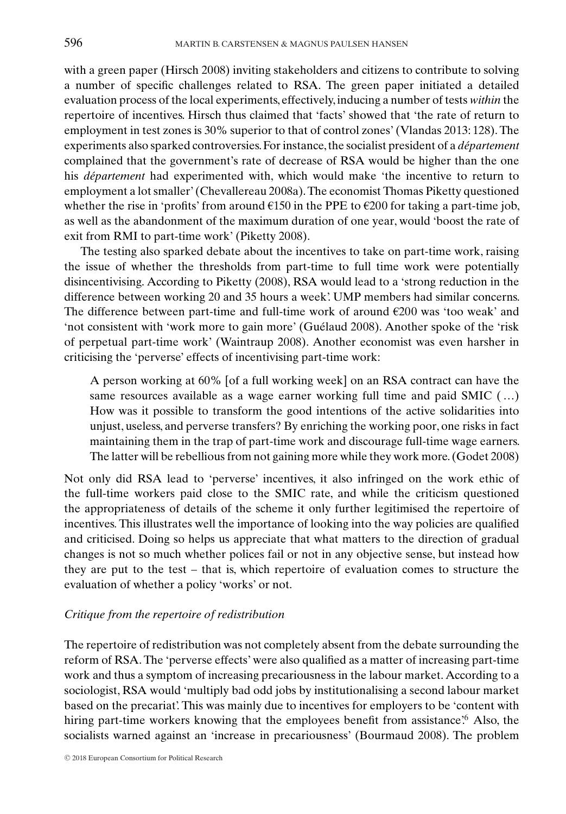with a green paper (Hirsch 2008) inviting stakeholders and citizens to contribute to solving a number of specific challenges related to RSA. The green paper initiated a detailed evaluation process of the local experiments, effectively,inducing a number of tests *within* the repertoire of incentives. Hirsch thus claimed that 'facts' showed that 'the rate of return to employment in test zones is 30% superior to that of control zones' (Vlandas 2013: 128). The experiments also sparked controversies. For instance, the socialist president of a *département* complained that the government's rate of decrease of RSA would be higher than the one his *département* had experimented with, which would make 'the incentive to return to employment a lot smaller' (Chevallereau 2008a).The economist Thomas Piketty questioned whether the rise in 'profits' from around  $\epsilon$ 150 in the PPE to  $\epsilon$ 200 for taking a part-time job, as well as the abandonment of the maximum duration of one year, would 'boost the rate of exit from RMI to part-time work' (Piketty 2008).

The testing also sparked debate about the incentives to take on part-time work, raising the issue of whether the thresholds from part-time to full time work were potentially disincentivising. According to Piketty (2008), RSA would lead to a 'strong reduction in the difference between working 20 and 35 hours a week'. UMP members had similar concerns. The difference between part-time and full-time work of around  $\epsilon$ 200 was 'too weak' and 'not consistent with 'work more to gain more' (Guélaud 2008). Another spoke of the 'risk of perpetual part-time work' (Waintraup 2008). Another economist was even harsher in criticising the 'perverse' effects of incentivising part-time work:

A person working at 60% [of a full working week] on an RSA contract can have the same resources available as a wage earner working full time and paid SMIC ( …) How was it possible to transform the good intentions of the active solidarities into unjust, useless, and perverse transfers? By enriching the working poor, one risks in fact maintaining them in the trap of part-time work and discourage full-time wage earners. The latter will be rebellious from not gaining more while they work more. (Godet 2008)

Not only did RSA lead to 'perverse' incentives, it also infringed on the work ethic of the full-time workers paid close to the SMIC rate, and while the criticism questioned the appropriateness of details of the scheme it only further legitimised the repertoire of incentives. This illustrates well the importance of looking into the way policies are qualified and criticised. Doing so helps us appreciate that what matters to the direction of gradual changes is not so much whether polices fail or not in any objective sense, but instead how they are put to the test – that is, which repertoire of evaluation comes to structure the evaluation of whether a policy 'works' or not.

#### *Critique from the repertoire of redistribution*

The repertoire of redistribution was not completely absent from the debate surrounding the reform of RSA. The 'perverse effects' were also qualified as a matter of increasing part-time work and thus a symptom of increasing precariousness in the labour market. According to a sociologist, RSA would 'multiply bad odd jobs by institutionalising a second labour market based on the precariat'. This was mainly due to incentives for employers to be 'content with hiring part-time workers knowing that the employees benefit from assistance.<sup>6</sup> Also, the socialists warned against an 'increase in precariousness' (Bourmaud 2008). The problem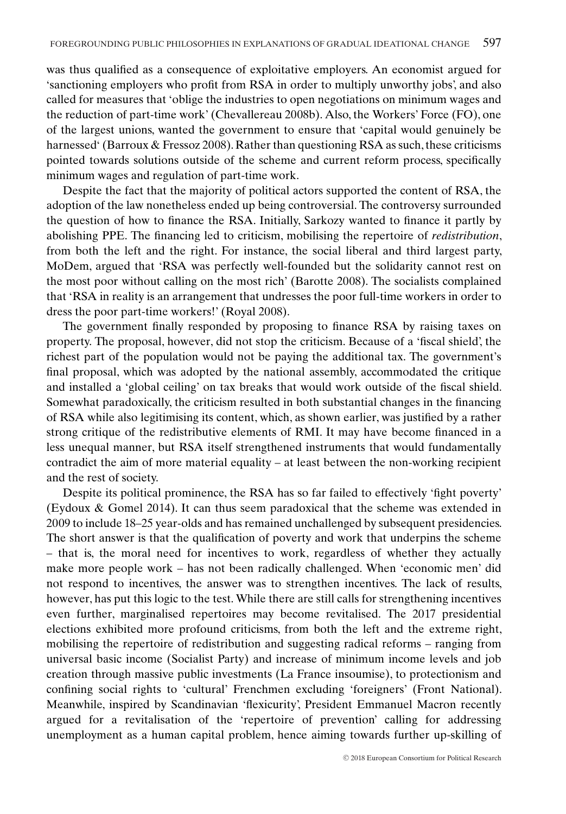was thus qualified as a consequence of exploitative employers. An economist argued for 'sanctioning employers who profit from RSA in order to multiply unworthy jobs', and also called for measures that 'oblige the industries to open negotiations on minimum wages and the reduction of part-time work' (Chevallereau 2008b). Also, the Workers' Force (FO), one of the largest unions, wanted the government to ensure that 'capital would genuinely be harnessed' (Barroux & Fressoz 2008). Rather than questioning RSA as such, these criticisms pointed towards solutions outside of the scheme and current reform process, specifically minimum wages and regulation of part-time work.

Despite the fact that the majority of political actors supported the content of RSA, the adoption of the law nonetheless ended up being controversial. The controversy surrounded the question of how to finance the RSA. Initially, Sarkozy wanted to finance it partly by abolishing PPE. The financing led to criticism, mobilising the repertoire of *redistribution*, from both the left and the right. For instance, the social liberal and third largest party, MoDem, argued that 'RSA was perfectly well-founded but the solidarity cannot rest on the most poor without calling on the most rich' (Barotte 2008). The socialists complained that 'RSA in reality is an arrangement that undresses the poor full-time workers in order to dress the poor part-time workers!' (Royal 2008).

The government finally responded by proposing to finance RSA by raising taxes on property. The proposal, however, did not stop the criticism. Because of a 'fiscal shield', the richest part of the population would not be paying the additional tax. The government's final proposal, which was adopted by the national assembly, accommodated the critique and installed a 'global ceiling' on tax breaks that would work outside of the fiscal shield. Somewhat paradoxically, the criticism resulted in both substantial changes in the financing of RSA while also legitimising its content, which, as shown earlier, was justified by a rather strong critique of the redistributive elements of RMI. It may have become financed in a less unequal manner, but RSA itself strengthened instruments that would fundamentally contradict the aim of more material equality – at least between the non-working recipient and the rest of society.

Despite its political prominence, the RSA has so far failed to effectively 'fight poverty' (Eydoux & Gomel 2014). It can thus seem paradoxical that the scheme was extended in 2009 to include 18–25 year-olds and has remained unchallenged by subsequent presidencies. The short answer is that the qualification of poverty and work that underpins the scheme – that is, the moral need for incentives to work, regardless of whether they actually make more people work – has not been radically challenged. When 'economic men' did not respond to incentives, the answer was to strengthen incentives. The lack of results, however, has put this logic to the test. While there are still calls for strengthening incentives even further, marginalised repertoires may become revitalised. The 2017 presidential elections exhibited more profound criticisms, from both the left and the extreme right, mobilising the repertoire of redistribution and suggesting radical reforms – ranging from universal basic income (Socialist Party) and increase of minimum income levels and job creation through massive public investments (La France insoumise), to protectionism and confining social rights to 'cultural' Frenchmen excluding 'foreigners' (Front National). Meanwhile, inspired by Scandinavian 'flexicurity', President Emmanuel Macron recently argued for a revitalisation of the 'repertoire of prevention' calling for addressing unemployment as a human capital problem, hence aiming towards further up-skilling of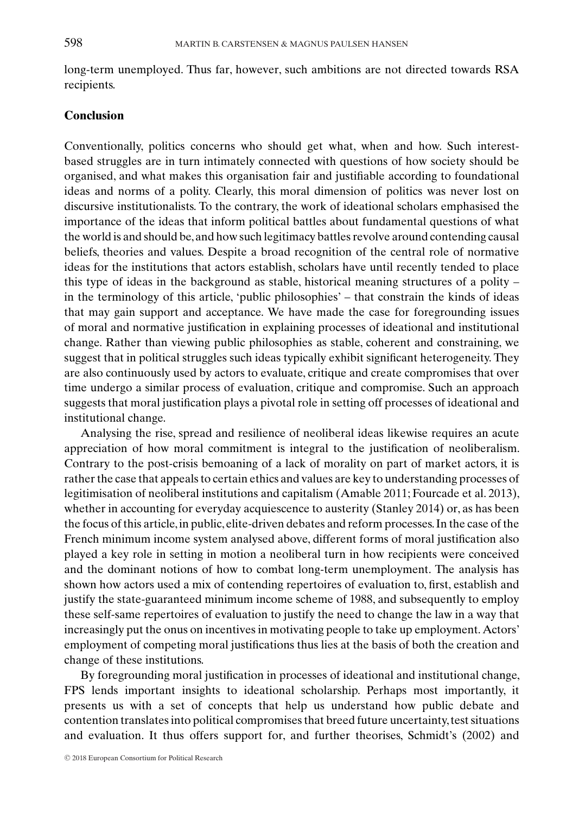long-term unemployed. Thus far, however, such ambitions are not directed towards RSA recipients.

#### **Conclusion**

Conventionally, politics concerns who should get what, when and how. Such interestbased struggles are in turn intimately connected with questions of how society should be organised, and what makes this organisation fair and justifiable according to foundational ideas and norms of a polity. Clearly, this moral dimension of politics was never lost on discursive institutionalists. To the contrary, the work of ideational scholars emphasised the importance of the ideas that inform political battles about fundamental questions of what the world is and should be, and how such legitimacy battles revolve around contending causal beliefs, theories and values. Despite a broad recognition of the central role of normative ideas for the institutions that actors establish, scholars have until recently tended to place this type of ideas in the background as stable, historical meaning structures of a polity – in the terminology of this article, 'public philosophies' – that constrain the kinds of ideas that may gain support and acceptance. We have made the case for foregrounding issues of moral and normative justification in explaining processes of ideational and institutional change. Rather than viewing public philosophies as stable, coherent and constraining, we suggest that in political struggles such ideas typically exhibit significant heterogeneity. They are also continuously used by actors to evaluate, critique and create compromises that over time undergo a similar process of evaluation, critique and compromise. Such an approach suggests that moral justification plays a pivotal role in setting off processes of ideational and institutional change.

Analysing the rise, spread and resilience of neoliberal ideas likewise requires an acute appreciation of how moral commitment is integral to the justification of neoliberalism. Contrary to the post-crisis bemoaning of a lack of morality on part of market actors, it is rather the case that appeals to certain ethics and values are key to understanding processes of legitimisation of neoliberal institutions and capitalism (Amable 2011; Fourcade et al. 2013), whether in accounting for everyday acquiescence to austerity (Stanley 2014) or, as has been the focus of this article,in public, elite-driven debates and reform processes. In the case of the French minimum income system analysed above, different forms of moral justification also played a key role in setting in motion a neoliberal turn in how recipients were conceived and the dominant notions of how to combat long-term unemployment. The analysis has shown how actors used a mix of contending repertoires of evaluation to, first, establish and justify the state-guaranteed minimum income scheme of 1988, and subsequently to employ these self-same repertoires of evaluation to justify the need to change the law in a way that increasingly put the onus on incentives in motivating people to take up employment. Actors' employment of competing moral justifications thus lies at the basis of both the creation and change of these institutions.

By foregrounding moral justification in processes of ideational and institutional change, FPS lends important insights to ideational scholarship. Perhaps most importantly, it presents us with a set of concepts that help us understand how public debate and contention translates into political compromises that breed future uncertainty, test situations and evaluation. It thus offers support for, and further theorises, Schmidt's (2002) and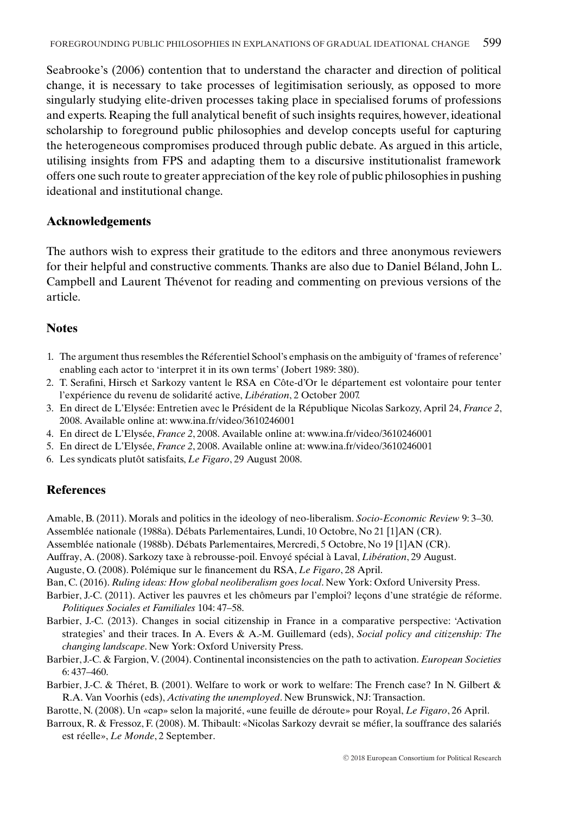Seabrooke's (2006) contention that to understand the character and direction of political change, it is necessary to take processes of legitimisation seriously, as opposed to more singularly studying elite-driven processes taking place in specialised forums of professions and experts. Reaping the full analytical benefit of such insights requires, however, ideational scholarship to foreground public philosophies and develop concepts useful for capturing the heterogeneous compromises produced through public debate. As argued in this article, utilising insights from FPS and adapting them to a discursive institutionalist framework offers one such route to greater appreciation of the key role of public philosophies in pushing ideational and institutional change.

### **Acknowledgements**

The authors wish to express their gratitude to the editors and three anonymous reviewers for their helpful and constructive comments. Thanks are also due to Daniel Béland, John L. Campbell and Laurent Thévenot for reading and commenting on previous versions of the article.

## **Notes**

- 1. The argument thus resembles the Réferentiel School's emphasis on the ambiguity of 'frames of reference' enabling each actor to 'interpret it in its own terms' (Jobert 1989: 380).
- 2. T. Serafini, Hirsch et Sarkozy vantent le RSA en Côte-d'Or le département est volontaire pour tenter l'expérience du revenu de solidarité active, *Libération*, 2 October 2007.
- 3. En direct de L'Elysée: Entretien avec le Président de la République Nicolas Sarkozy, April 24, *France 2*, 2008. Available online at: www.ina.fr/video/3610246001
- 4. En direct de L'Elysée, *France 2*, 2008. Available online at: www.ina.fr/video/3610246001
- 5. En direct de L'Elysée, *France 2*, 2008. Available online at: www.ina.fr/video/3610246001
- 6. Les syndicats plutôt satisfaits, *Le Figaro*, 29 August 2008.

# **References**

Amable, B. (2011). Morals and politics in the ideology of neo-liberalism. *Socio-Economic Review* 9: 3–30. Assemblée nationale (1988a). Débats Parlementaires, Lundi, 10 Octobre, No 21 [1]AN (CR).

- Assemblée nationale (1988b). Débats Parlementaires, Mercredi, 5 Octobre, No 19 [1]AN (CR).
- Auffray, A. (2008). Sarkozy taxe à rebrousse-poil. Envoyé spécial à Laval, *Libération*, 29 August.

Auguste, O. (2008). Polémique sur le financement du RSA, *Le Figaro*, 28 April.

Ban, C. (2016). *Ruling ideas: How global neoliberalism goes local*. New York: Oxford University Press.

Barbier, J.-C. (2011). Activer les pauvres et les chômeurs par l'emploi? leçons d'une stratégie de réforme. *Politiques Sociales et Familiales* 104: 47–58.

Barbier, J.-C. (2013). Changes in social citizenship in France in a comparative perspective: 'Activation strategies' and their traces. In A. Evers & A.-M. Guillemard (eds), *Social policy and citizenship: The changing landscape*. New York: Oxford University Press.

Barbier, J.-C. & Fargion, V. (2004). Continental inconsistencies on the path to activation. *European Societies* 6: 437–460.

Barbier, J.-C. & Théret, B. (2001). Welfare to work or work to welfare: The French case? In N. Gilbert & R.A. Van Voorhis (eds), *Activating the unemployed*. New Brunswick, NJ: Transaction.

Barotte, N. (2008). Un «cap» selon la majorité, «une feuille de déroute» pour Royal, *Le Figaro*, 26 April.

Barroux, R. & Fressoz, F. (2008). M. Thibault: «Nicolas Sarkozy devrait se méfier, la souffrance des salariés est réelle», *Le Monde*, 2 September.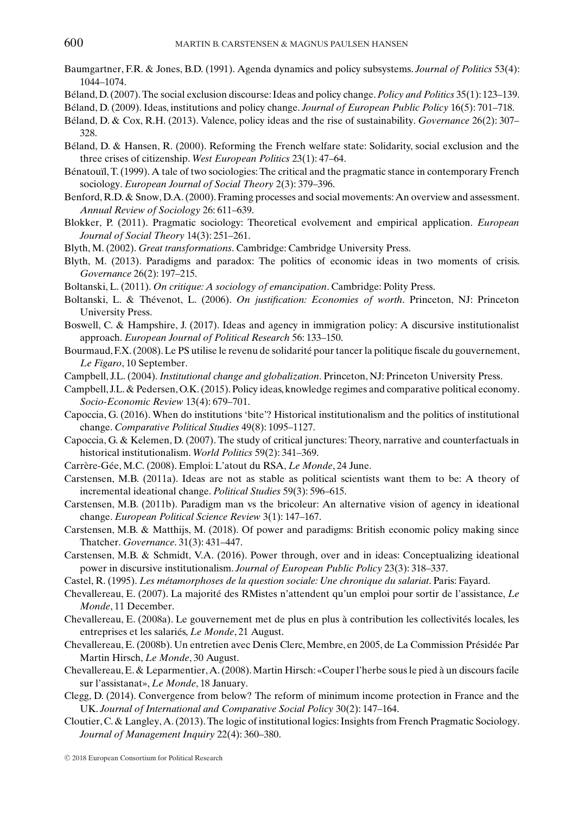- Baumgartner, F.R. & Jones, B.D. (1991). Agenda dynamics and policy subsystems. *Journal of Politics* 53(4): 1044–1074.
- Béland, D. (2007). The social exclusion discourse: Ideas and policy change.*Policy and Politics* 35(1): 123–139.
- Béland, D. (2009). Ideas, institutions and policy change. *Journal of European Public Policy* 16(5): 701–718.
- Béland, D. & Cox, R.H. (2013). Valence, policy ideas and the rise of sustainability. *Governance* 26(2): 307– 328.
- Béland, D. & Hansen, R. (2000). Reforming the French welfare state: Solidarity, social exclusion and the three crises of citizenship. *West European Politics* 23(1): 47–64.
- Bénatouïl, T. (1999). A tale of two sociologies: The critical and the pragmatic stance in contemporary French sociology. *European Journal of Social Theory* 2(3): 379–396.
- Benford, R.D. & Snow, D.A. (2000). Framing processes and social movements: An overview and assessment. *Annual Review of Sociology* 26: 611–639.
- Blokker, P. (2011). Pragmatic sociology: Theoretical evolvement and empirical application. *European Journal of Social Theory* 14(3): 251–261.
- Blyth, M. (2002). *Great transformations*. Cambridge: Cambridge University Press.
- Blyth, M. (2013). Paradigms and paradox: The politics of economic ideas in two moments of crisis. *Governance* 26(2): 197–215.
- Boltanski, L. (2011). *On critique: A sociology of emancipation*. Cambridge: Polity Press.
- Boltanski, L. & Thévenot, L. (2006). *On justification: Economies of worth*. Princeton, NJ: Princeton University Press.
- Boswell, C. & Hampshire, J. (2017). Ideas and agency in immigration policy: A discursive institutionalist approach. *European Journal of Political Research* 56: 133–150.
- Bourmaud, F.X. (2008).Le PS utilise le revenu de solidarité pour tancer la politique fiscale du gouvernement, *Le Figaro*, 10 September.
- Campbell, J.L. (2004). *Institutional change and globalization*. Princeton, NJ: Princeton University Press.
- Campbell, J.L.& Pedersen,O.K. (2015). Policy ideas, knowledge regimes and comparative political economy. *Socio-Economic Review* 13(4): 679–701.
- Capoccia, G. (2016). When do institutions 'bite'? Historical institutionalism and the politics of institutional change. *Comparative Political Studies* 49(8): 1095–1127.
- Capoccia, G. & Kelemen, D. (2007). The study of critical junctures: Theory, narrative and counterfactuals in historical institutionalism. *World Politics* 59(2): 341–369.
- Carrère-Gée, M.C. (2008). Emploi: L'atout du RSA, *Le Monde*, 24 June.
- Carstensen, M.B. (2011a). Ideas are not as stable as political scientists want them to be: A theory of incremental ideational change. *Political Studies* 59(3): 596–615.
- Carstensen, M.B. (2011b). Paradigm man vs the bricoleur: An alternative vision of agency in ideational change. *European Political Science Review* 3(1): 147–167.
- Carstensen, M.B. & Matthijs, M. (2018). Of power and paradigms: British economic policy making since Thatcher. *Governance*. 31(3): 431–447.
- Carstensen, M.B. & Schmidt, V.A. (2016). Power through, over and in ideas: Conceptualizing ideational power in discursive institutionalism. *Journal of European Public Policy* 23(3): 318–337.
- Castel, R. (1995). *Les métamorphoses de la question sociale: Une chronique du salariat*. Paris: Fayard.
- Chevallereau, E. (2007). La majorité des RMistes n'attendent qu'un emploi pour sortir de l'assistance, *Le Monde*, 11 December.
- Chevallereau, E. (2008a). Le gouvernement met de plus en plus à contribution les collectivités locales, les entreprises et les salariés, *Le Monde*, 21 August.
- Chevallereau, E. (2008b). Un entretien avec Denis Clerc, Membre, en 2005, de La Commission Présidée Par Martin Hirsch, *Le Monde*, 30 August.
- Chevallereau, E.& Leparmentier,A. (2008).Martin Hirsch: «Couper l'herbe sous le pied à un discours facile sur l'assistanat», *Le Monde*, 18 January.
- Clegg, D. (2014). Convergence from below? The reform of minimum income protection in France and the UK. *Journal of International and Comparative Social Policy* 30(2): 147–164.
- Cloutier, C. & Langley, A. (2013). The logic of institutional logics: Insights from French Pragmatic Sociology. *Journal of Management Inquiry* 22(4): 360–380.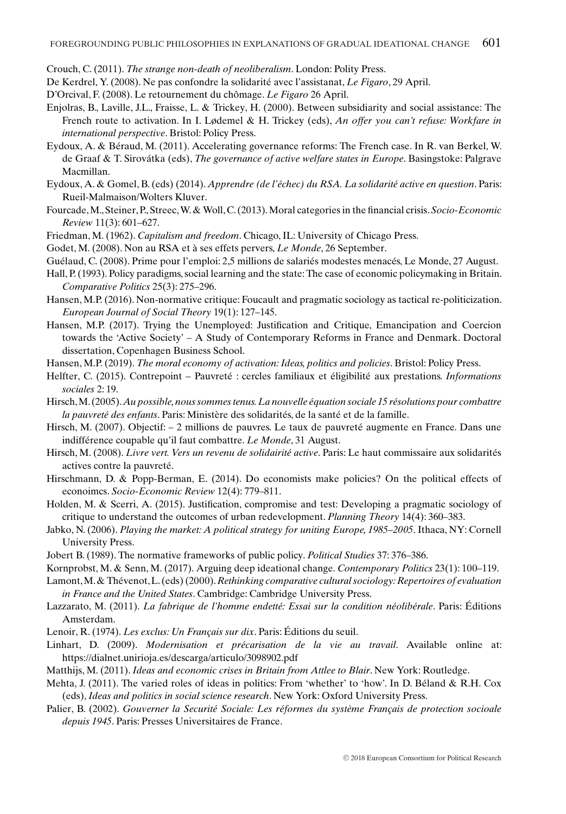Crouch, C. (2011). *The strange non-death of neoliberalism*. London: Polity Press.

- De Kerdrel, Y. (2008). Ne pas confondre la solidarité avec l'assistanat, *Le Figaro*, 29 April.
- D'Orcival, F. (2008). Le retournement du chômage. *Le Figaro* 26 April.
- Enjolras, B., Laville, J.L., Fraisse, L. & Trickey, H. (2000). Between subsidiarity and social assistance: The French route to activation. In I. Lødemel & H. Trickey (eds), *An offer you can't refuse: Workfare in international perspective*. Bristol: Policy Press.
- Eydoux, A. & Béraud, M. (2011). Accelerating governance reforms: The French case. In R. van Berkel, W. de Graaf & T. Sirovátka (eds), *The governance of active welfare states in Europe*. Basingstoke: Palgrave Macmillan.
- Eydoux, A. & Gomel, B. (eds) (2014). *Apprendre (de l'échec) du RSA. La solidarité active en question*. Paris: Rueil-Malmaison/Wolters Kluver.
- Fourcade,M., Steiner, P., Streec,W.& Woll, C. (2013).Moral categories in the financial crisis.*Socio-Economic Review* 11(3): 601–627.
- Friedman, M. (1962). *Capitalism and freedom*. Chicago, IL: University of Chicago Press.
- Godet, M. (2008). Non au RSA et à ses effets pervers, *Le Monde*, 26 September.
- Guélaud, C. (2008). Prime pour l'emploi: 2,5 millions de salariés modestes menacés, Le Monde, 27 August.
- Hall, P. (1993). Policy paradigms, social learning and the state: The case of economic policymaking in Britain. *Comparative Politics* 25(3): 275–296.
- Hansen, M.P. (2016). Non-normative critique: Foucault and pragmatic sociology as tactical re-politicization. *European Journal of Social Theory* 19(1): 127–145.
- Hansen, M.P. (2017). Trying the Unemployed: Justification and Critique, Emancipation and Coercion towards the 'Active Society' – A Study of Contemporary Reforms in France and Denmark. Doctoral dissertation, Copenhagen Business School.
- Hansen, M.P. (2019). *The moral economy of activation: Ideas, politics and policies*. Bristol: Policy Press.
- Helfter, C. (2015). Contrepoint Pauvreté : cercles familiaux et éligibilité aux prestations. *Informations sociales* 2: 19.
- Hirsch,M. (2005).*Au possible, nous sommes tenus.La nouvelle équation sociale 15 résolutions pour combattre la pauvreté des enfants*. Paris: Ministère des solidarités, de la santé et de la famille.
- Hirsch, M. (2007). Objectif: 2 millions de pauvres. Le taux de pauvreté augmente en France. Dans une indifférence coupable qu'il faut combattre. *Le Monde*, 31 August.
- Hirsch, M. (2008). *Livre vert. Vers un revenu de solidairité active*. Paris: Le haut commissaire aux solidarités actives contre la pauvreté.
- Hirschmann, D. & Popp-Berman, E. (2014). Do economists make policies? On the political effects of econoimcs. *Socio-Economic Review* 12(4): 779–811.
- Holden, M. & Scerri, A. (2015). Justification, compromise and test: Developing a pragmatic sociology of critique to understand the outcomes of urban redevelopment. *Planning Theory* 14(4): 360–383.
- Jabko, N. (2006). *Playing the market: A political strategy for uniting Europe, 1985–2005*. Ithaca, NY: Cornell University Press.
- Jobert B. (1989). The normative frameworks of public policy. *Political Studies* 37: 376–386.
- Kornprobst, M. & Senn, M. (2017). Arguing deep ideational change. *Contemporary Politics* 23(1): 100–119.

Lamont,M.& Thévenot,L. (eds) (2000).*Rethinking comparative cultural sociology:Repertoires of evaluation in France and the United States*. Cambridge: Cambridge University Press.

- Lazzarato, M. (2011). *La fabrique de l'homme endetté: Essai sur la condition néolibérale*. Paris: Éditions Amsterdam.
- Lenoir, R. (1974). *Les exclus: Un Français sur dix*. Paris: Éditions du seuil.
- Linhart, D. (2009). *Modernisation et précarisation de la vie au travail*. Available online at: https://dialnet.unirioja.es/descarga/articulo/3098902.pdf
- Matthijs, M. (2011). *Ideas and economic crises in Britain from Attlee to Blair*. New York: Routledge.
- Mehta, J. (2011). The varied roles of ideas in politics: From 'whether' to 'how'. In D. Béland & R.H. Cox (eds), *Ideas and politics in social science research*. New York: Oxford University Press.
- Palier, B. (2002). *Gouverner la Securité Sociale: Les réformes du système Français de protection socioale depuis 1945*. Paris: Presses Universitaires de France.